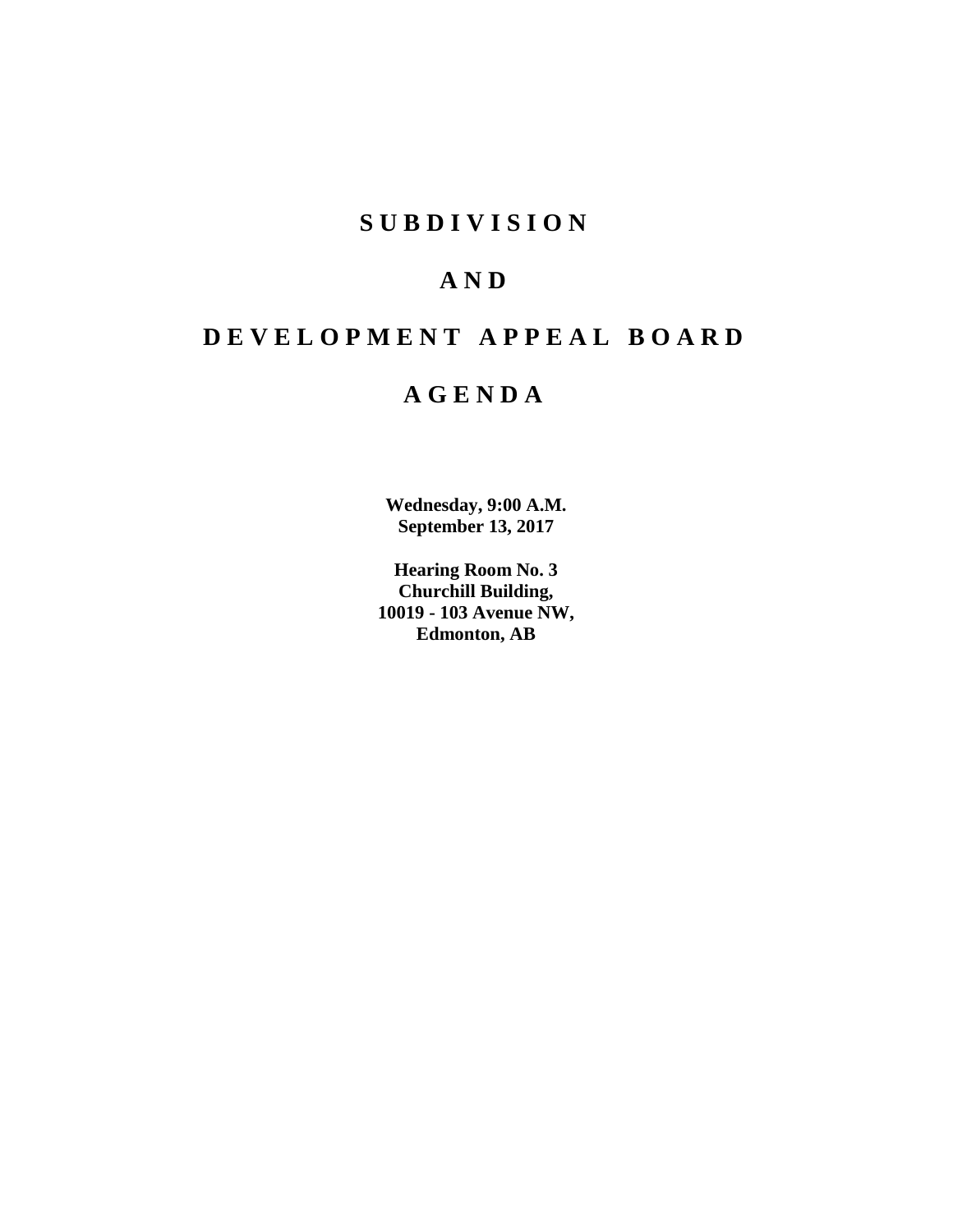# **SUBDIVISION**

# **AND**

# **DEVELOPMENT APPEAL BOARD**

# **AGENDA**

**Wednesday, 9:00 A.M. September 13, 2017**

**Hearing Room No. 3 Churchill Building, 10019 - 103 Avenue NW, Edmonton, AB**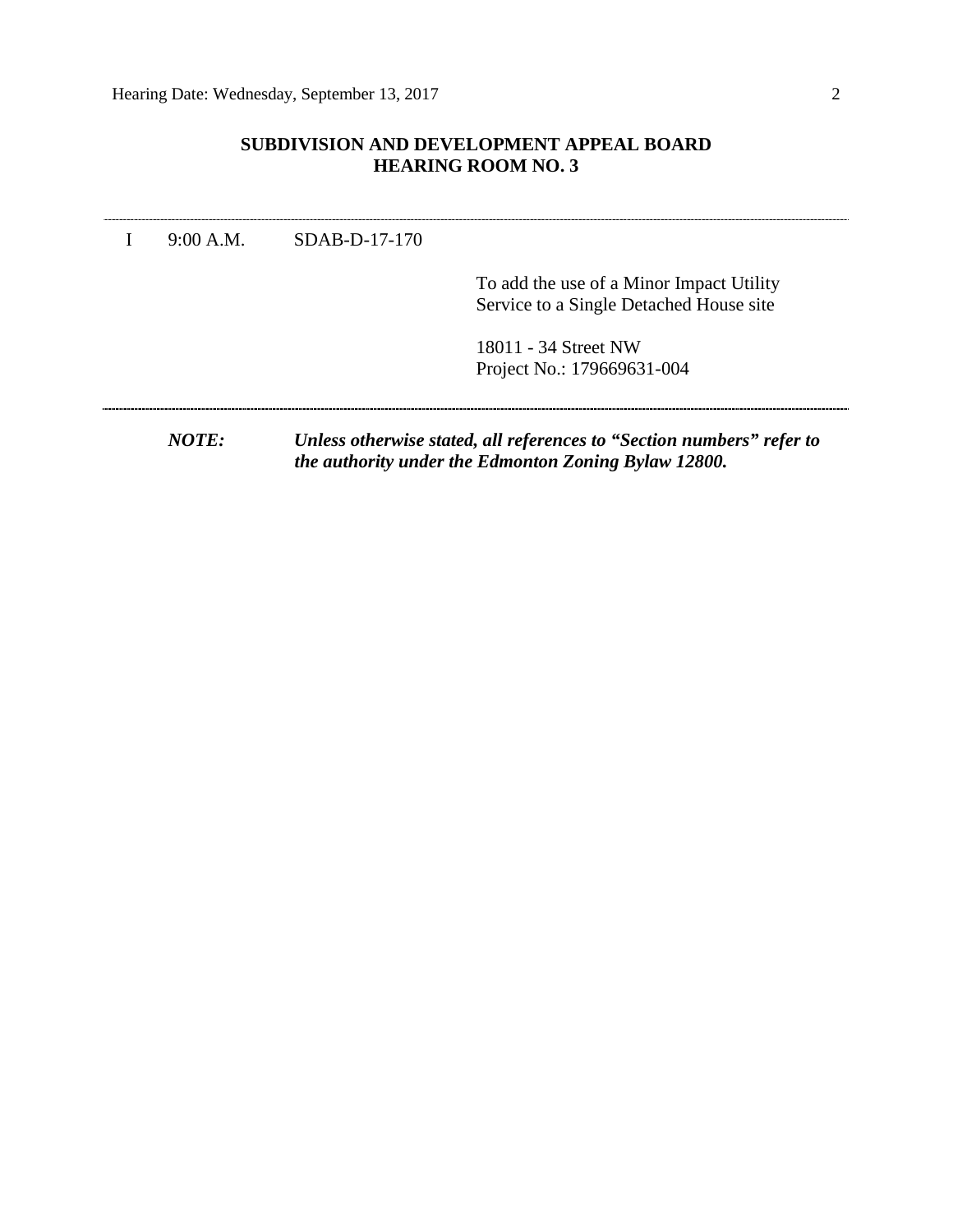## **SUBDIVISION AND DEVELOPMENT APPEAL BOARD HEARING ROOM NO. 3**

I 9:00 A.M. SDAB-D-17-170

To add the use of a Minor Impact Utility Service to a Single Detached House site

18011 - 34 Street NW Project No.: 179669631-004

*NOTE: Unless otherwise stated, all references to "Section numbers" refer to the authority under the Edmonton Zoning Bylaw 12800.*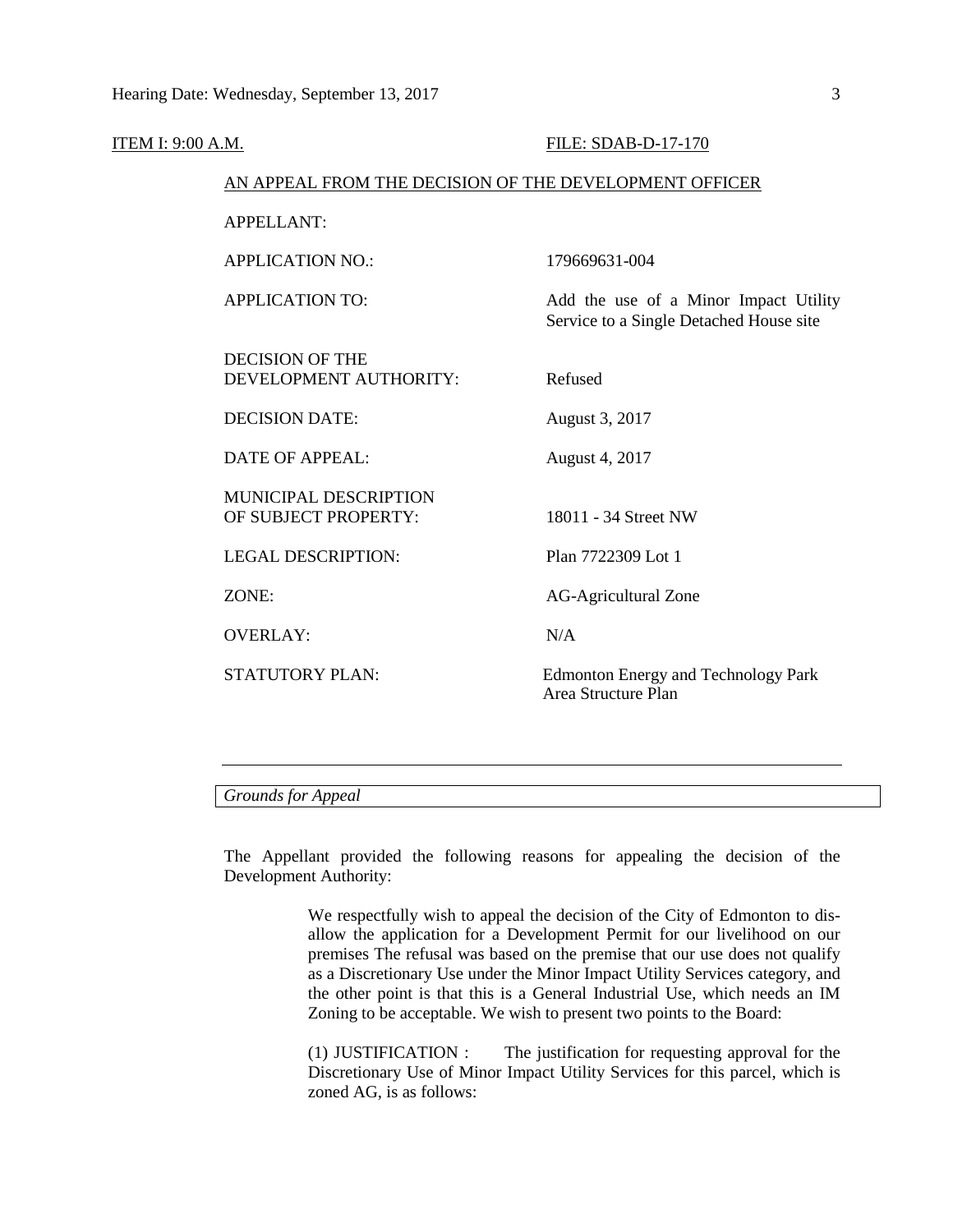| <b>ITEM I: 9:00 A.M.</b> |                                                        | FILE: SDAB-D-17-170                                                              |
|--------------------------|--------------------------------------------------------|----------------------------------------------------------------------------------|
|                          | AN APPEAL FROM THE DECISION OF THE DEVELOPMENT OFFICER |                                                                                  |
|                          | <b>APPELLANT:</b>                                      |                                                                                  |
|                          | <b>APPLICATION NO.:</b>                                | 179669631-004                                                                    |
|                          | <b>APPLICATION TO:</b>                                 | Add the use of a Minor Impact Utility<br>Service to a Single Detached House site |
|                          | <b>DECISION OF THE</b><br>DEVELOPMENT AUTHORITY:       | Refused                                                                          |
|                          | <b>DECISION DATE:</b>                                  | August 3, 2017                                                                   |
|                          | <b>DATE OF APPEAL:</b>                                 | August 4, 2017                                                                   |
|                          | MUNICIPAL DESCRIPTION<br>OF SUBJECT PROPERTY:          | 18011 - 34 Street NW                                                             |
|                          | <b>LEGAL DESCRIPTION:</b>                              | Plan 7722309 Lot 1                                                               |
|                          | ZONE:                                                  | <b>AG-Agricultural Zone</b>                                                      |
|                          | <b>OVERLAY:</b>                                        | N/A                                                                              |
|                          | STATUTORY PLAN:                                        | Edmonton Energy and Technology Park<br>Area Structure Plan                       |
|                          |                                                        |                                                                                  |

*Grounds for Appeal*

The Appellant provided the following reasons for appealing the decision of the Development Authority:

> We respectfully wish to appeal the decision of the City of Edmonton to disallow the application for a Development Permit for our livelihood on our premises The refusal was based on the premise that our use does not qualify as a Discretionary Use under the Minor Impact Utility Services category, and the other point is that this is a General Industrial Use, which needs an IM Zoning to be acceptable. We wish to present two points to the Board:

> (1) JUSTIFICATION : The justification for requesting approval for the Discretionary Use of Minor Impact Utility Services for this parcel, which is zoned AG, is as follows: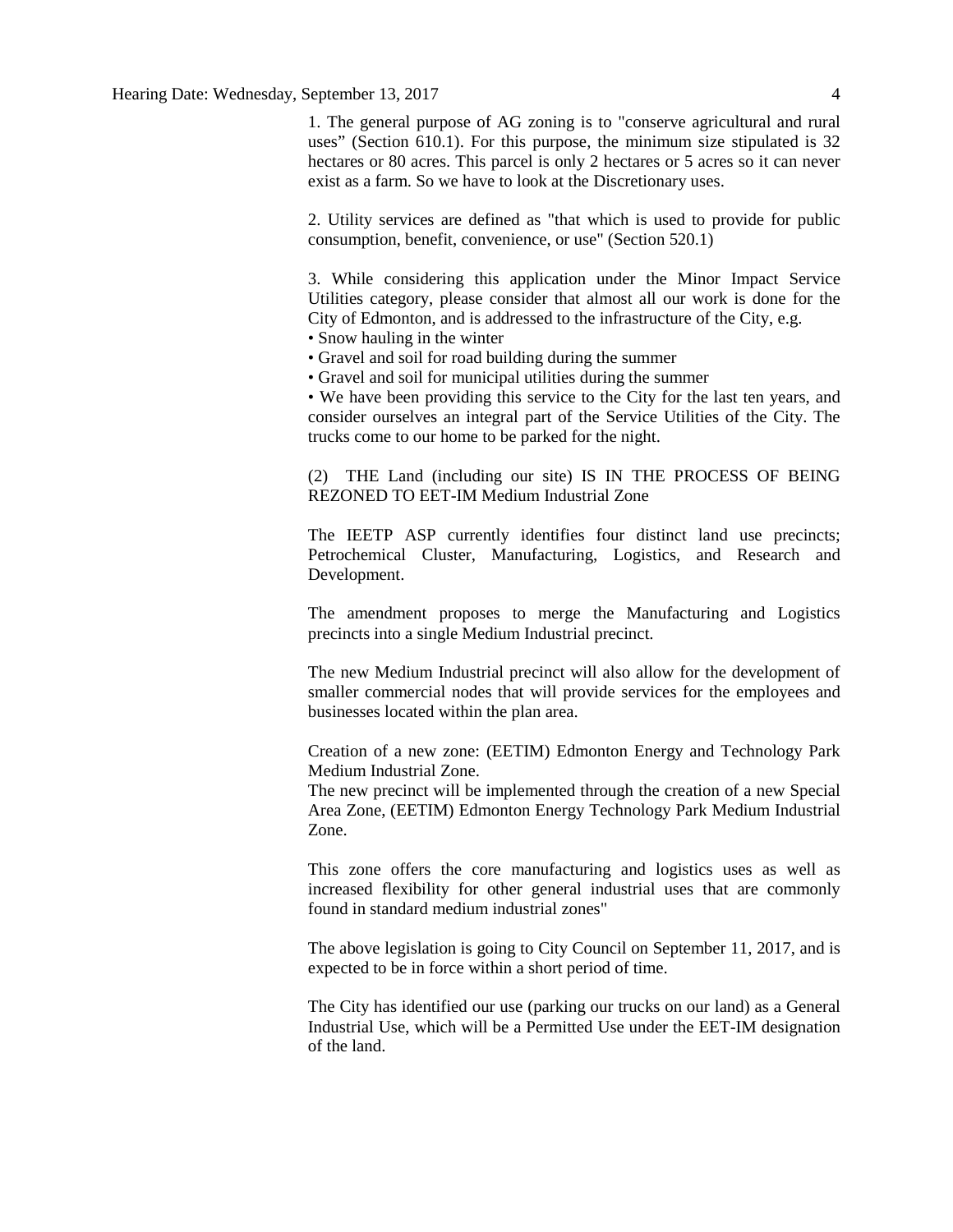1. The general purpose of AG zoning is to "conserve agricultural and rural uses" (Section 610.1). For this purpose, the minimum size stipulated is 32 hectares or 80 acres. This parcel is only 2 hectares or 5 acres so it can never exist as a farm. So we have to look at the Discretionary uses.

2. Utility services are defined as "that which is used to provide for public consumption, benefit, convenience, or use" (Section 520.1)

3. While considering this application under the Minor Impact Service Utilities category, please consider that almost all our work is done for the City of Edmonton, and is addressed to the infrastructure of the City, e.g.

• Snow hauling in the winter

• Gravel and soil for road building during the summer

• Gravel and soil for municipal utilities during the summer

• We have been providing this service to the City for the last ten years, and consider ourselves an integral part of the Service Utilities of the City. The trucks come to our home to be parked for the night.

(2) THE Land (including our site) IS IN THE PROCESS OF BEING REZONED TO EET-IM Medium Industrial Zone

The IEETP ASP currently identifies four distinct land use precincts; Petrochemical Cluster, Manufacturing, Logistics, and Research and Development.

The amendment proposes to merge the Manufacturing and Logistics precincts into a single Medium Industrial precinct.

The new Medium Industrial precinct will also allow for the development of smaller commercial nodes that will provide services for the employees and businesses located within the plan area.

Creation of a new zone: (EETIM) Edmonton Energy and Technology Park Medium Industrial Zone.

The new precinct will be implemented through the creation of a new Special Area Zone, (EETIM) Edmonton Energy Technology Park Medium Industrial Zone.

This zone offers the core manufacturing and logistics uses as well as increased flexibility for other general industrial uses that are commonly found in standard medium industrial zones"

The above legislation is going to City Council on September 11, 2017, and is expected to be in force within a short period of time.

The City has identified our use (parking our trucks on our land) as a General Industrial Use, which will be a Permitted Use under the EET-IM designation of the land.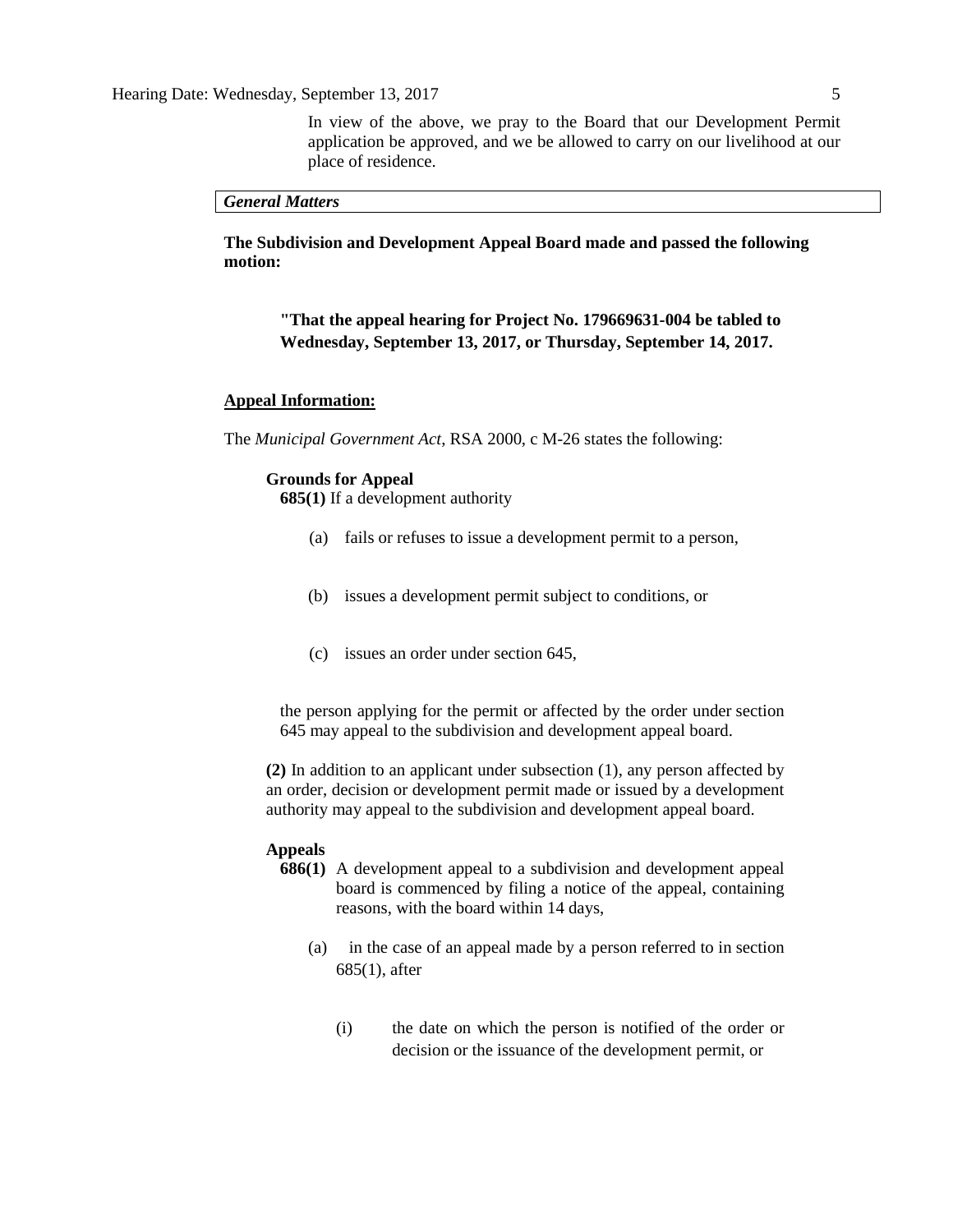In view of the above, we pray to the Board that our Development Permit application be approved, and we be allowed to carry on our livelihood at our place of residence.

#### *General Matters*

**The Subdivision and Development Appeal Board made and passed the following motion:** 

## **"That the appeal hearing for Project No. 179669631-004 be tabled to Wednesday, September 13, 2017, or Thursday, September 14, 2017.**

#### **Appeal Information:**

The *Municipal Government Act*, RSA 2000, c M-26 states the following:

#### **Grounds for Appeal**

**685(1)** If a development authority

- (a) fails or refuses to issue a development permit to a person,
- (b) issues a development permit subject to conditions, or
- (c) issues an order under section 645,

the person applying for the permit or affected by the order under section 645 may appeal to the subdivision and development appeal board.

**(2)** In addition to an applicant under subsection (1), any person affected by an order, decision or development permit made or issued by a development authority may appeal to the subdivision and development appeal board.

#### **Appeals**

- **686(1)** A development appeal to a subdivision and development appeal board is commenced by filing a notice of the appeal, containing reasons, with the board within 14 days,
	- (a) in the case of an appeal made by a person referred to in section 685(1), after
		- (i) the date on which the person is notified of the order or decision or the issuance of the development permit, or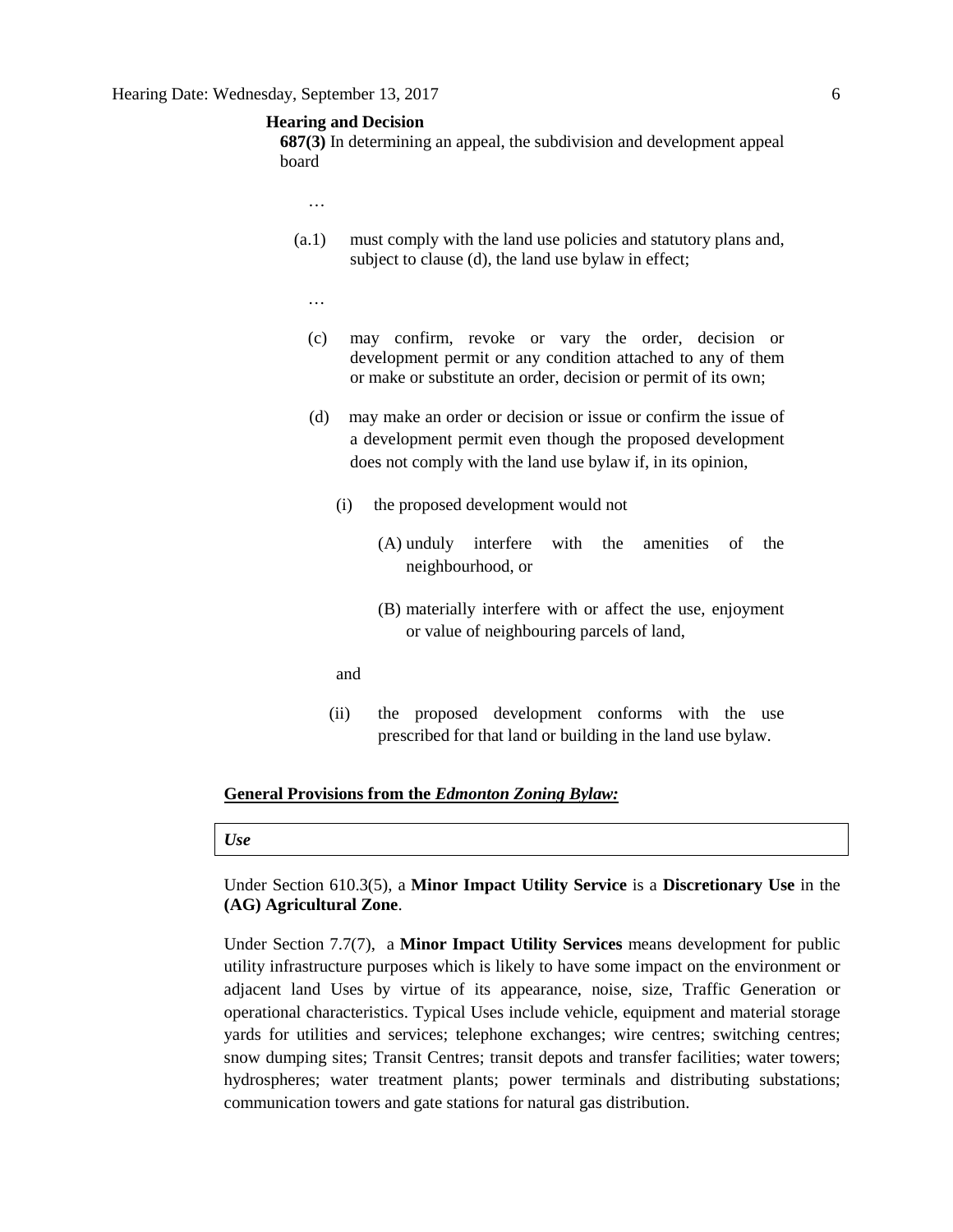### **Hearing and Decision**

**687(3)** In determining an appeal, the subdivision and development appeal board

- …
- (a.1) must comply with the land use policies and statutory plans and, subject to clause (d), the land use bylaw in effect;
	- …
	- (c) may confirm, revoke or vary the order, decision or development permit or any condition attached to any of them or make or substitute an order, decision or permit of its own;
	- (d) may make an order or decision or issue or confirm the issue of a development permit even though the proposed development does not comply with the land use bylaw if, in its opinion,
		- (i) the proposed development would not
			- (A) unduly interfere with the amenities of the neighbourhood, or
			- (B) materially interfere with or affect the use, enjoyment or value of neighbouring parcels of land,
		- and
		- (ii) the proposed development conforms with the use prescribed for that land or building in the land use bylaw.

### **General Provisions from the** *Edmonton Zoning Bylaw:*

#### *Use*

Under Section 610.3(5), a **Minor Impact Utility Service** is a **Discretionary Use** in the **(AG) Agricultural Zone**.

Under Section 7.7(7), a **Minor Impact Utility Services** means development for public utility infrastructure purposes which is likely to have some impact on the environment or adjacent land Uses by virtue of its appearance, noise, size, Traffic Generation or operational characteristics. Typical Uses include vehicle, equipment and material storage yards for utilities and services; telephone exchanges; wire centres; switching centres; snow dumping sites; Transit Centres; transit depots and transfer facilities; water towers; hydrospheres; water treatment plants; power terminals and distributing substations; communication towers and gate stations for natural gas distribution.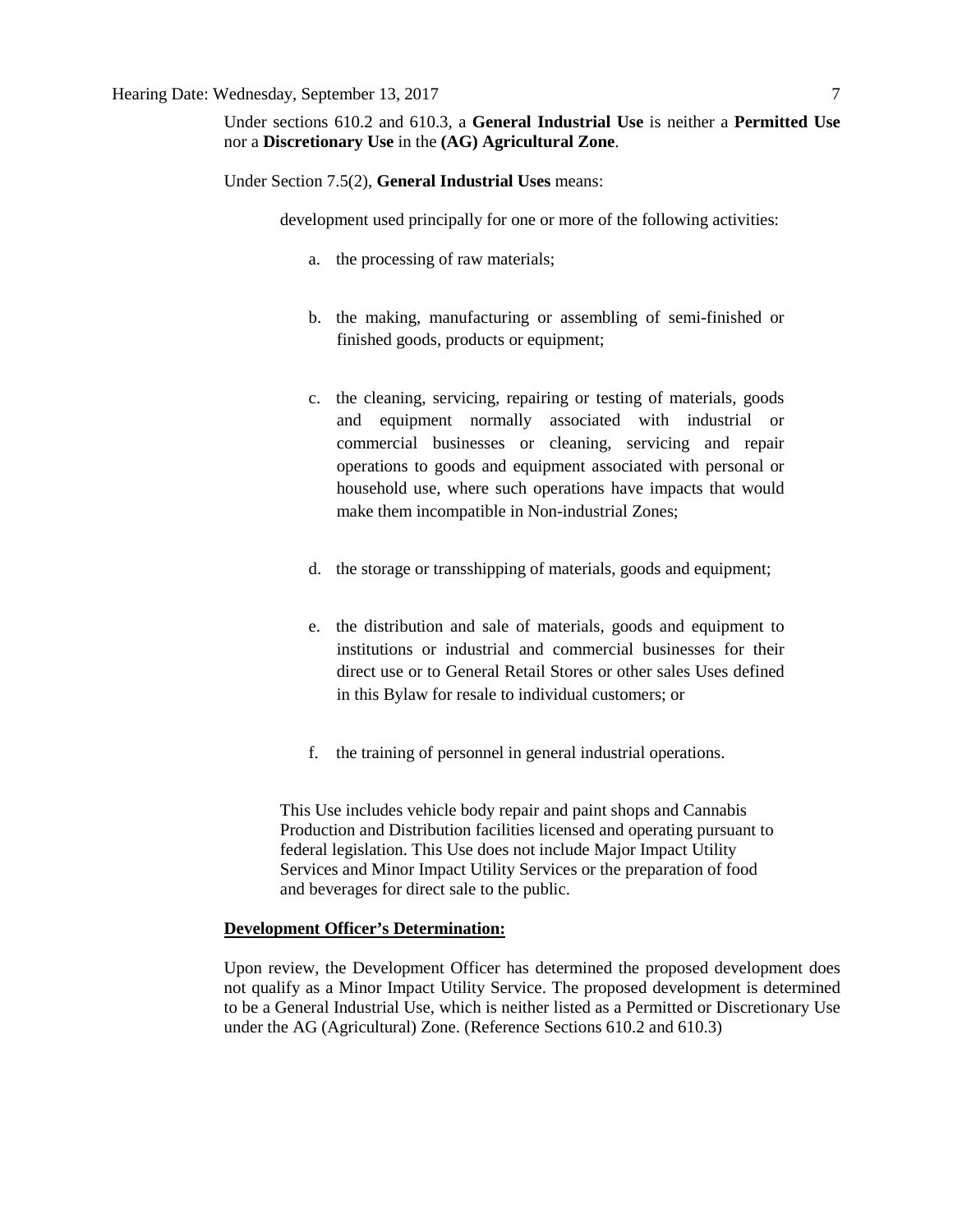Under sections 610.2 and 610.3, a **General Industrial Use** is neither a **Permitted Use** nor a **Discretionary Use** in the **(AG) Agricultural Zone**.

Under Section 7.5(2), **General Industrial Uses** means:

development used principally for one or more of the following activities:

- a. the processing of raw materials;
- b. the making, manufacturing or assembling of semi-finished or finished goods, products or equipment;
- c. the cleaning, servicing, repairing or testing of materials, goods and equipment normally associated with industrial or commercial businesses or cleaning, servicing and repair operations to goods and equipment associated with personal or household use, where such operations have impacts that would make them incompatible in Non-industrial Zones;
- d. the storage or transshipping of materials, goods and equipment;
- e. the distribution and sale of materials, goods and equipment to institutions or industrial and commercial businesses for their direct use or to General Retail Stores or other sales Uses defined in this Bylaw for resale to individual customers; or
- f. the training of personnel in general industrial operations.

This Use includes vehicle body repair and paint shops and Cannabis Production and Distribution facilities licensed and operating pursuant to federal legislation. This Use does not include Major Impact Utility Services and Minor Impact Utility Services or the preparation of food and beverages for direct sale to the public.

#### **Development Officer's Determination:**

Upon review, the Development Officer has determined the proposed development does not qualify as a Minor Impact Utility Service. The proposed development is determined to be a General Industrial Use, which is neither listed as a Permitted or Discretionary Use under the AG (Agricultural) Zone. (Reference Sections 610.2 and 610.3)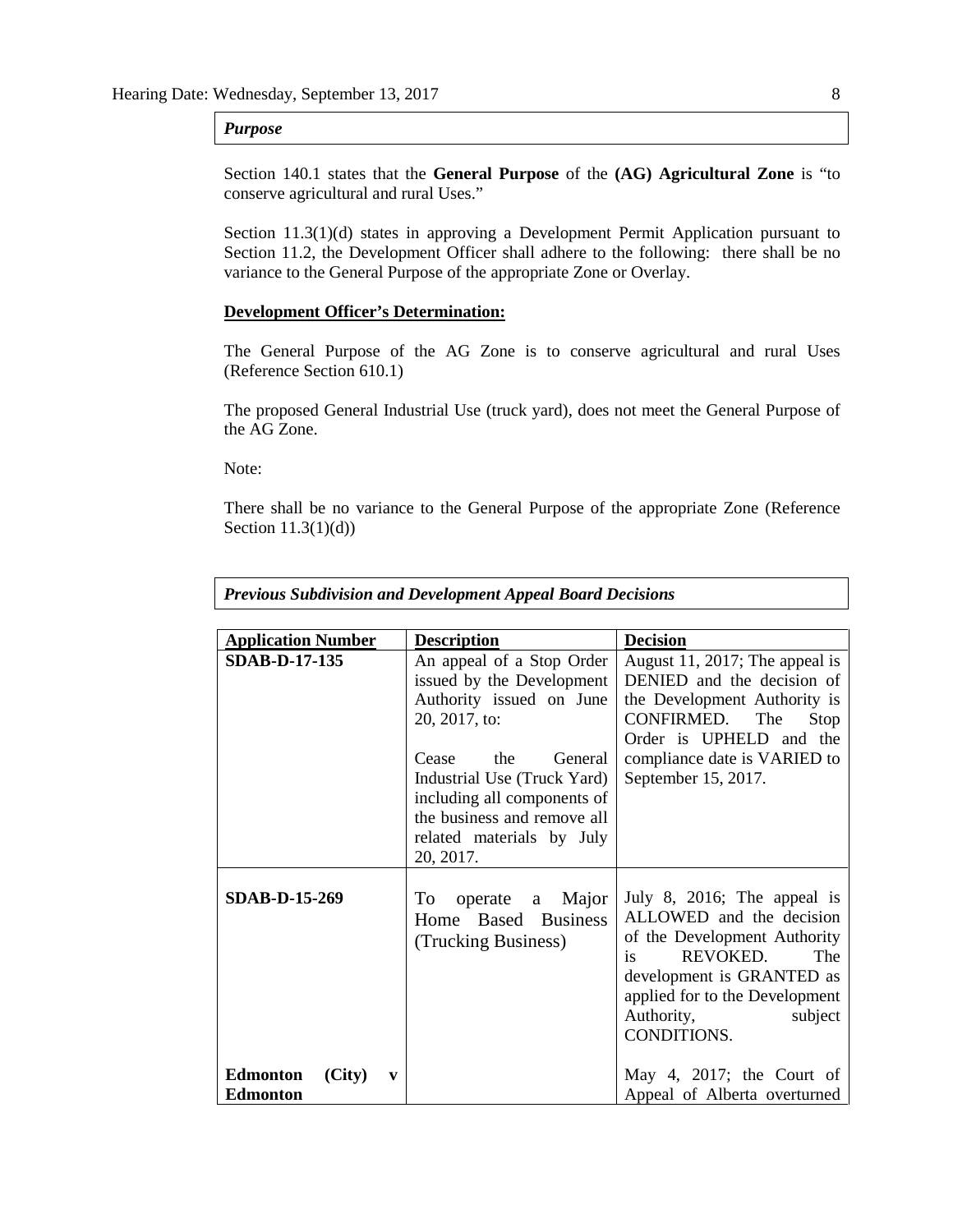### *Purpose*

Section 140.1 states that the **General Purpose** of the **(AG) Agricultural Zone** is "to conserve agricultural and rural Uses."

Section 11.3(1)(d) states in approving a Development Permit Application pursuant to Section 11.2, the Development Officer shall adhere to the following: there shall be no variance to the General Purpose of the appropriate Zone or Overlay.

#### **Development Officer's Determination:**

The General Purpose of the AG Zone is to conserve agricultural and rural Uses (Reference Section 610.1)

The proposed General Industrial Use (truck yard), does not meet the General Purpose of the AG Zone.

Note:

There shall be no variance to the General Purpose of the appropriate Zone (Reference Section 11.3(1)(d))

| <b>Previous Subdivision and Development Appeal Board Decisions</b> |
|--------------------------------------------------------------------|
|                                                                    |

| <b>Application Number</b>                                    | <b>Description</b>                                                                                                                                                                                                                                                    | <b>Decision</b>                                                                                                                                                                                                         |
|--------------------------------------------------------------|-----------------------------------------------------------------------------------------------------------------------------------------------------------------------------------------------------------------------------------------------------------------------|-------------------------------------------------------------------------------------------------------------------------------------------------------------------------------------------------------------------------|
| <b>SDAB-D-17-135</b>                                         | An appeal of a Stop Order<br>issued by the Development<br>Authority issued on June<br>20, 2017, to:<br>the<br>Cease<br>General<br>Industrial Use (Truck Yard)<br>including all components of<br>the business and remove all<br>related materials by July<br>20, 2017. | August 11, 2017; The appeal is<br>DENIED and the decision of<br>the Development Authority is<br>CONFIRMED.<br>The<br>Stop<br>Order is UPHELD and the<br>compliance date is VARIED to<br>September 15, 2017.             |
| <b>SDAB-D-15-269</b>                                         | operate a Major<br>To<br>Home Based Business<br>(Trucking Business)                                                                                                                                                                                                   | July 8, 2016; The appeal is<br>ALLOWED and the decision<br>of the Development Authority<br>REVOKED.<br>The<br>is<br>development is GRANTED as<br>applied for to the Development<br>Authority,<br>subject<br>CONDITIONS. |
| <b>Edmonton</b><br>(City)<br>$\mathbf{v}$<br><b>Edmonton</b> |                                                                                                                                                                                                                                                                       | May 4, 2017; the Court of<br>Appeal of Alberta overturned                                                                                                                                                               |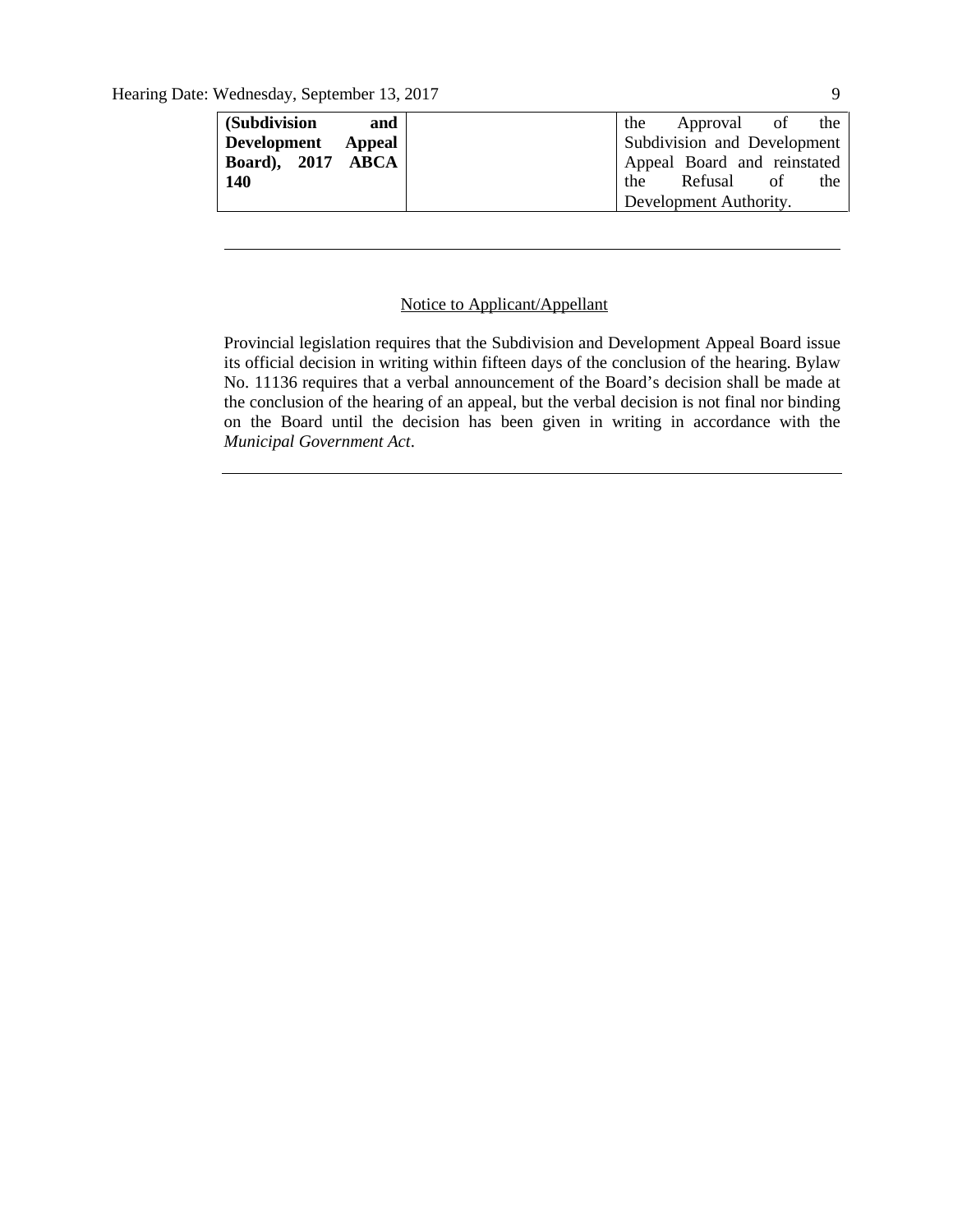| (Subdivision       | and |  | the Approval of the                |    |     |
|--------------------|-----|--|------------------------------------|----|-----|
| Development Appeal |     |  | <b>Subdivision and Development</b> |    |     |
| Board), 2017 ABCA  |     |  | Appeal Board and reinstated        |    |     |
| 140                |     |  | the Refusal                        | of | the |
|                    |     |  | Development Authority.             |    |     |
|                    |     |  |                                    |    |     |

### Notice to Applicant/Appellant

Provincial legislation requires that the Subdivision and Development Appeal Board issue its official decision in writing within fifteen days of the conclusion of the hearing. Bylaw No. 11136 requires that a verbal announcement of the Board's decision shall be made at the conclusion of the hearing of an appeal, but the verbal decision is not final nor binding on the Board until the decision has been given in writing in accordance with the *Municipal Government Act*.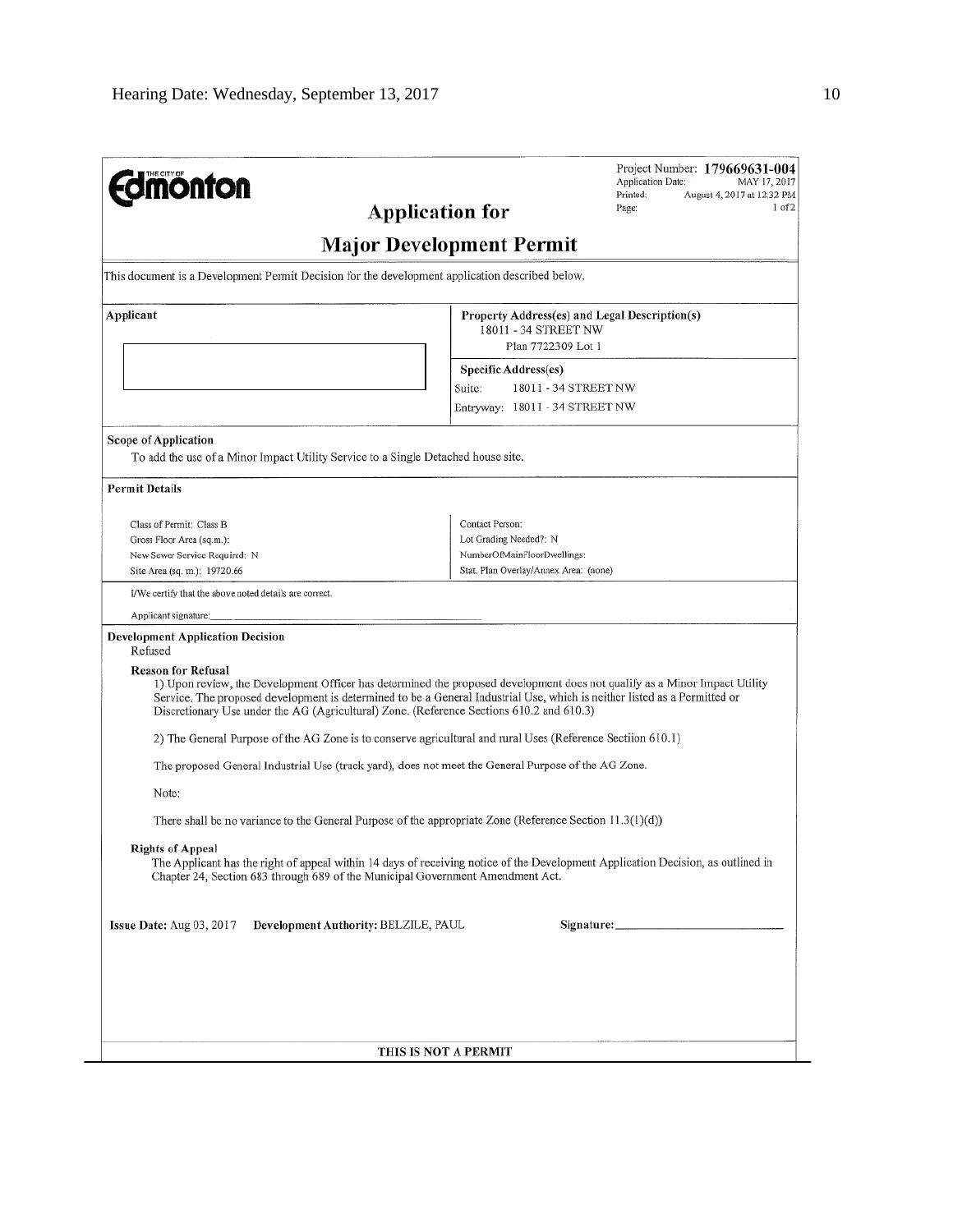| <b>monton</b><br><b>Application for</b>                                                                                                                                                                                                                                                                                                                                          |                                                                                                                   | Project Number: 179669631-004<br>Application Date:<br>MAY 17, 2017<br>Printed:<br>August 4, 2017 at 12:32 PM<br>Page:<br>I of 2 |  |  |  |  |
|----------------------------------------------------------------------------------------------------------------------------------------------------------------------------------------------------------------------------------------------------------------------------------------------------------------------------------------------------------------------------------|-------------------------------------------------------------------------------------------------------------------|---------------------------------------------------------------------------------------------------------------------------------|--|--|--|--|
|                                                                                                                                                                                                                                                                                                                                                                                  | <b>Major Development Permit</b>                                                                                   |                                                                                                                                 |  |  |  |  |
| This document is a Development Permit Decision for the development application described below.                                                                                                                                                                                                                                                                                  |                                                                                                                   |                                                                                                                                 |  |  |  |  |
| Applicant<br>18011 - 34 STREET NW<br>Plan 7722309 Lot 1<br><b>Specific Address(es)</b><br>18011 - 34 STREET NW<br>Suite:<br>Entryway: 18011 - 34 STREET NW                                                                                                                                                                                                                       |                                                                                                                   | Property Address(es) and Legal Description(s)                                                                                   |  |  |  |  |
| Scope of Application<br>To add the use of a Minor Impact Utility Service to a Single Detached house site.                                                                                                                                                                                                                                                                        |                                                                                                                   |                                                                                                                                 |  |  |  |  |
| <b>Permit Details</b>                                                                                                                                                                                                                                                                                                                                                            |                                                                                                                   |                                                                                                                                 |  |  |  |  |
| Class of Permit: Class B<br>Gross Floor Area (sq.m.):<br>New Sewer Service Required: N<br>Site Area (sq. m.): 19720.66                                                                                                                                                                                                                                                           | Contact Person:<br>Lot Grading Needed?: N<br>NumberOfMainFloorDwellings:<br>Stat. Plan Overlay/Annex Area: (none) |                                                                                                                                 |  |  |  |  |
| I/We certify that the above noted details are correct.                                                                                                                                                                                                                                                                                                                           |                                                                                                                   |                                                                                                                                 |  |  |  |  |
| Applicant signature:<br><b>Development Application Decision</b><br>Refused                                                                                                                                                                                                                                                                                                       |                                                                                                                   |                                                                                                                                 |  |  |  |  |
| <b>Reason for Refusal</b><br>1) Upon review, the Development Officer has determined the proposed development does not qualify as a Minor Impact Utility<br>Service. The proposed development is determined to be a General Industrial Use, which is neither listed as a Permitted or<br>Discretionary Use under the AG (Agricultural) Zone. (Reference Sections 610.2 and 610.3) |                                                                                                                   |                                                                                                                                 |  |  |  |  |
| 2) The General Purpose of the AG Zone is to conserve agricultural and rural Uses (Reference Sectiion 610.1)                                                                                                                                                                                                                                                                      |                                                                                                                   |                                                                                                                                 |  |  |  |  |
| The proposed General Industrial Use (truck yard), does not meet the General Purpose of the AG Zone.                                                                                                                                                                                                                                                                              |                                                                                                                   |                                                                                                                                 |  |  |  |  |
| Note:                                                                                                                                                                                                                                                                                                                                                                            |                                                                                                                   |                                                                                                                                 |  |  |  |  |
| There shall be no variance to the General Purpose of the appropriate Zone (Reference Section $11.3(1)(d)$ )                                                                                                                                                                                                                                                                      |                                                                                                                   |                                                                                                                                 |  |  |  |  |
| <b>Rights of Appeal</b><br>The Applicant has the right of appeal within 14 days of receiving notice of the Development Application Decision, as outlined in<br>Chapter 24, Section 683 through 689 of the Municipal Government Amendment Act.                                                                                                                                    |                                                                                                                   |                                                                                                                                 |  |  |  |  |
| Issue Date: $Aug 03, 2017$<br>Development Authority: BELZILE, PAUL                                                                                                                                                                                                                                                                                                               |                                                                                                                   |                                                                                                                                 |  |  |  |  |
|                                                                                                                                                                                                                                                                                                                                                                                  |                                                                                                                   |                                                                                                                                 |  |  |  |  |
|                                                                                                                                                                                                                                                                                                                                                                                  |                                                                                                                   |                                                                                                                                 |  |  |  |  |
|                                                                                                                                                                                                                                                                                                                                                                                  | THIS IS NOT A PERMIT                                                                                              |                                                                                                                                 |  |  |  |  |